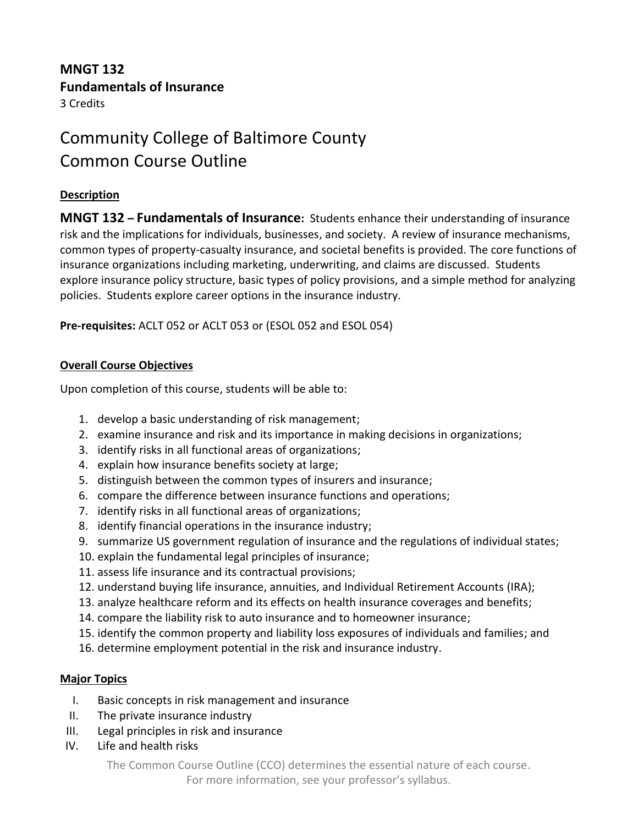# **MNGT 132 Fundamentals of Insurance** 3 Credits

# Community College of Baltimore County Common Course Outline

#### **Description**

**MNGT 132 – Fundamentals of Insurance:** Students enhance their understanding of insurance risk and the implications for individuals, businesses, and society. A review of insurance mechanisms, common types of property-casualty insurance, and societal benefits is provided. The core functions of insurance organizations including marketing, underwriting, and claims are discussed. Students explore insurance policy structure, basic types of policy provisions, and a simple method for analyzing policies. Students explore career options in the insurance industry.

**Pre-requisites:** ACLT 052 or ACLT 053 or (ESOL 052 and ESOL 054)

### **Overall Course Objectives**

Upon completion of this course, students will be able to:

- 1. develop a basic understanding of risk management;
- 2. examine insurance and risk and its importance in making decisions in organizations;
- 3. identify risks in all functional areas of organizations;
- 4. explain how insurance benefits society at large;
- 5. distinguish between the common types of insurers and insurance;
- 6. compare the difference between insurance functions and operations;
- 7. identify risks in all functional areas of organizations;
- 8. identify financial operations in the insurance industry;
- 9. summarize US government regulation of insurance and the regulations of individual states;
- 10. explain the fundamental legal principles of insurance;
- 11. assess life insurance and its contractual provisions;
- 12. understand buying life insurance, annuities, and Individual Retirement Accounts (IRA);
- 13. analyze healthcare reform and its effects on health insurance coverages and benefits;
- 14. compare the liability risk to auto insurance and to homeowner insurance;
- 15. identify the common property and liability loss exposures of individuals and families; and
- 16. determine employment potential in the risk and insurance industry.

## **Major Topics**

- I. Basic concepts in risk management and insurance
- II. The private insurance industry
- III. Legal principles in risk and insurance
- IV. Life and health risks

The Common Course Outline (CCO) determines the essential nature of each course. For more information, see your professor's syllabus.